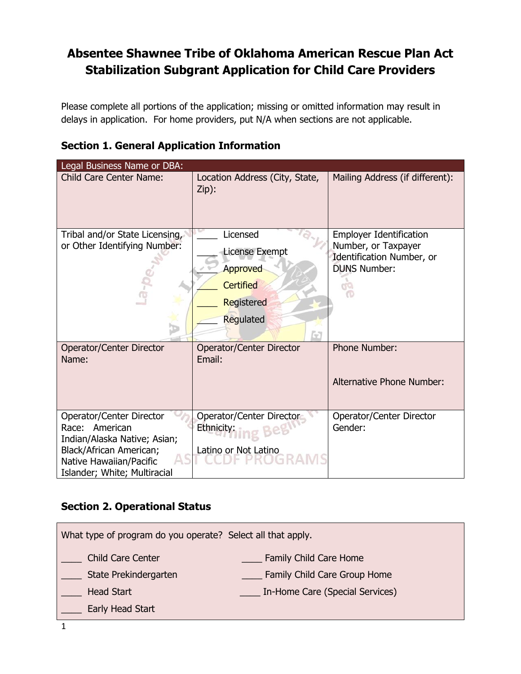### **Absentee Shawnee Tribe of Oklahoma American Rescue Plan Act Stabilization Subgrant Application for Child Care Providers**

Please complete all portions of the application; missing or omitted information may result in delays in application. For home providers, put N/A when sections are not applicable.

| <b>Section 1. General Application Information</b> |
|---------------------------------------------------|
|---------------------------------------------------|

| Legal Business Name or DBA:                                                                                                                                      |                                                                                            |                                                                                                           |
|------------------------------------------------------------------------------------------------------------------------------------------------------------------|--------------------------------------------------------------------------------------------|-----------------------------------------------------------------------------------------------------------|
| <b>Child Care Center Name:</b>                                                                                                                                   | Location Address (City, State,<br>Zip):                                                    | Mailing Address (if different):                                                                           |
| Tribal and/or State Licensing,<br>or Other Identifying Number:                                                                                                   | Licensed<br>License Exempt<br>Approved<br><b>Certified</b><br>Registered<br>Regulated<br>G | <b>Employer Identification</b><br>Number, or Taxpayer<br>Identification Number, or<br><b>DUNS Number:</b> |
| Operator/Center Director<br>Name:                                                                                                                                | Operator/Center Director<br>Email:                                                         | <b>Phone Number:</b><br>Alternative Phone Number:                                                         |
| Operator/Center Director<br>Race: American<br>Indian/Alaska Native; Asian;<br>Black/African American;<br>Native Hawaiian/Pacific<br>Islander; White; Multiracial | Operator/Center Director<br>Ethnicity:<br>Latino or Not Latino                             | Operator/Center Director<br>Gender:                                                                       |

### **Section 2. Operational Status**

| What type of program do you operate? Select all that apply. |                                 |  |
|-------------------------------------------------------------|---------------------------------|--|
| <b>Child Care Center</b>                                    | Family Child Care Home          |  |
| State Prekindergarten                                       | Family Child Care Group Home    |  |
| <b>Head Start</b>                                           | In-Home Care (Special Services) |  |
| Early Head Start                                            |                                 |  |
|                                                             |                                 |  |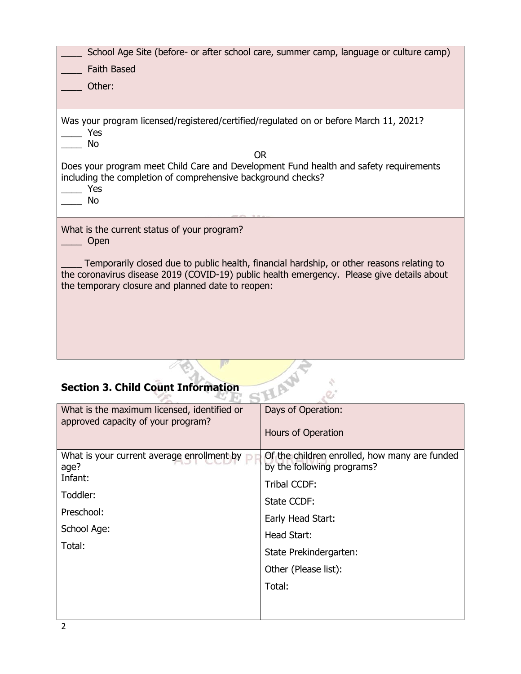| School Age Site (before- or after school care, summer camp, language or culture camp)<br><b>Faith Based</b><br>Other:                                                                                                                                                                               |
|-----------------------------------------------------------------------------------------------------------------------------------------------------------------------------------------------------------------------------------------------------------------------------------------------------|
| Was your program licensed/registered/certified/regulated on or before March 11, 2021?<br>Yes<br>No<br>OR.<br>Does your program meet Child Care and Development Fund health and safety requirements<br>including the completion of comprehensive background checks?<br>Yes<br><b>No</b>              |
| What is the current status of your program?<br>Open<br>Temporarily closed due to public health, financial hardship, or other reasons relating to<br>the coronavirus disease 2019 (COVID-19) public health emergency. Please give details about<br>the temporary closure and planned date to reopen: |

# **Section 3. Child Count Information**

| <b>Section 3. Child Count Information</b>                                                                        |                                                                             |  |  |
|------------------------------------------------------------------------------------------------------------------|-----------------------------------------------------------------------------|--|--|
| What is the maximum licensed, identified or                                                                      | Days of Operation:                                                          |  |  |
| approved capacity of your program?                                                                               | Hours of Operation                                                          |  |  |
| What is your current average enrollment by<br>age?<br>Infant:<br>Toddler:<br>Preschool:<br>School Age:<br>Total: | Of the children enrolled, how many are funded<br>by the following programs? |  |  |
|                                                                                                                  | <b>Tribal CCDF:</b>                                                         |  |  |
|                                                                                                                  | State CCDF:                                                                 |  |  |
|                                                                                                                  | Early Head Start:                                                           |  |  |
|                                                                                                                  | Head Start:                                                                 |  |  |
|                                                                                                                  | State Prekindergarten:                                                      |  |  |
|                                                                                                                  | Other (Please list):                                                        |  |  |
|                                                                                                                  | Total:                                                                      |  |  |
|                                                                                                                  |                                                                             |  |  |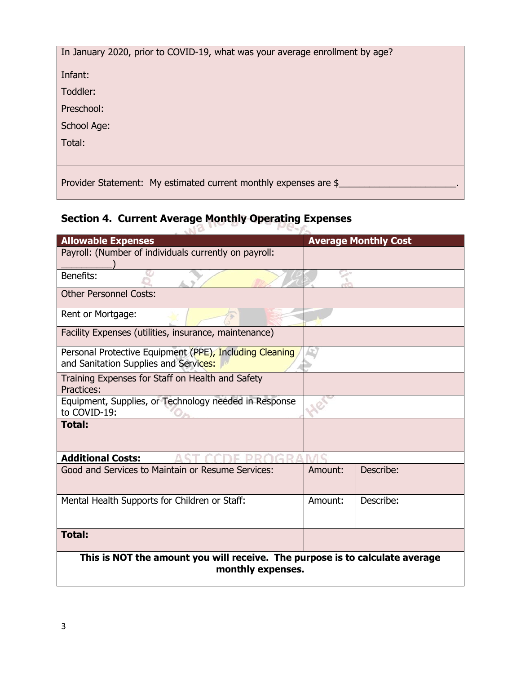| In January 2020, prior to COVID-19, what was your average enrollment by age? |
|------------------------------------------------------------------------------|
| Infant:                                                                      |
| Toddler:                                                                     |
| Preschool:                                                                   |
| School Age:                                                                  |
| Total:                                                                       |
|                                                                              |
| Provider Statement: My estimated current monthly expenses are \$             |

## **Section 4. Current Average Monthly Operating Expenses**

| <b>Allowable Expenses</b>                                                                         |         | <b>Average Monthly Cost</b> |  |
|---------------------------------------------------------------------------------------------------|---------|-----------------------------|--|
| Payroll: (Number of individuals currently on payroll:                                             |         |                             |  |
| Benefits:                                                                                         |         |                             |  |
| <b>Other Personnel Costs:</b>                                                                     |         |                             |  |
| Rent or Mortgage:                                                                                 |         |                             |  |
| Facility Expenses (utilities, insurance, maintenance)                                             |         |                             |  |
| Personal Protective Equipment (PPE), Including Cleaning<br>and Sanitation Supplies and Services:  |         |                             |  |
| Training Expenses for Staff on Health and Safety<br>Practices:                                    |         |                             |  |
| Equipment, Supplies, or Technology needed in Response<br>to COVID-19:                             |         |                             |  |
| <b>Total:</b>                                                                                     |         |                             |  |
| <b>Additional Costs:</b>                                                                          |         |                             |  |
| Good and Services to Maintain or Resume Services:                                                 | Amount: | Describe:                   |  |
| Mental Health Supports for Children or Staff:                                                     | Amount: | Describe:                   |  |
| <b>Total:</b>                                                                                     |         |                             |  |
| This is NOT the amount you will receive. The purpose is to calculate average<br>monthly expenses. |         |                             |  |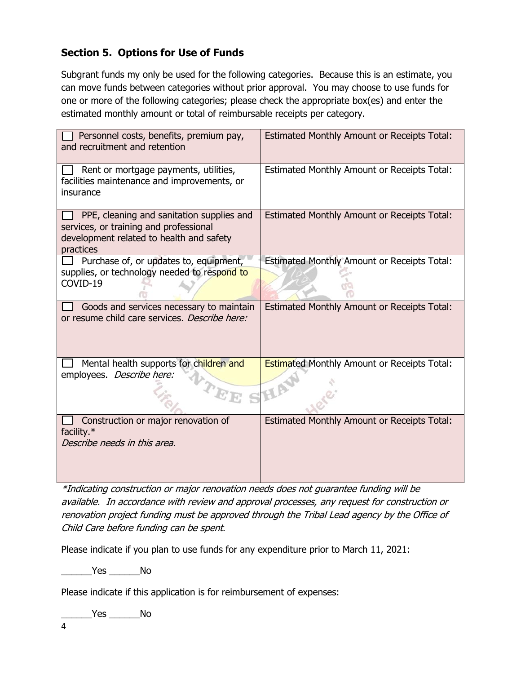### **Section 5. Options for Use of Funds**

Subgrant funds my only be used for the following categories. Because this is an estimate, you can move funds between categories without prior approval. You may choose to use funds for one or more of the following categories; please check the appropriate box(es) and enter the estimated monthly amount or total of reimbursable receipts per category.

| Personnel costs, benefits, premium pay,<br>and recruitment and retention                                                                     | <b>Estimated Monthly Amount or Receipts Total:</b> |
|----------------------------------------------------------------------------------------------------------------------------------------------|----------------------------------------------------|
| Rent or mortgage payments, utilities,<br>facilities maintenance and improvements, or<br>insurance                                            | Estimated Monthly Amount or Receipts Total:        |
|                                                                                                                                              |                                                    |
| PPE, cleaning and sanitation supplies and<br>services, or training and professional<br>development related to health and safety<br>practices | Estimated Monthly Amount or Receipts Total:        |
| Purchase of, or updates to, equipment,<br>supplies, or technology needed to respond to                                                       | Estimated Monthly Amount or Receipts Total:        |
| COVID-19                                                                                                                                     |                                                    |
| Goods and services necessary to maintain<br>or resume child care services. Describe here:                                                    | <b>Estimated Monthly Amount or Receipts Total:</b> |
| Mental health supports for children and<br>employees. Describe here:                                                                         | <b>Estimated Monthly Amount or Receipts Total:</b> |
| Construction or major renovation of<br>facility.*<br>Describe needs in this area.                                                            | <b>Estimated Monthly Amount or Receipts Total:</b> |

\*Indicating construction or major renovation needs does not guarantee funding will be available. In accordance with review and approval processes, any request for construction or renovation project funding must be approved through the Tribal Lead agency by the Office of Child Care before funding can be spent.

Please indicate if you plan to use funds for any expenditure prior to March 11, 2021:

\_\_\_\_\_\_Yes \_\_\_\_\_\_No

Please indicate if this application is for reimbursement of expenses:

 $Yes$  No